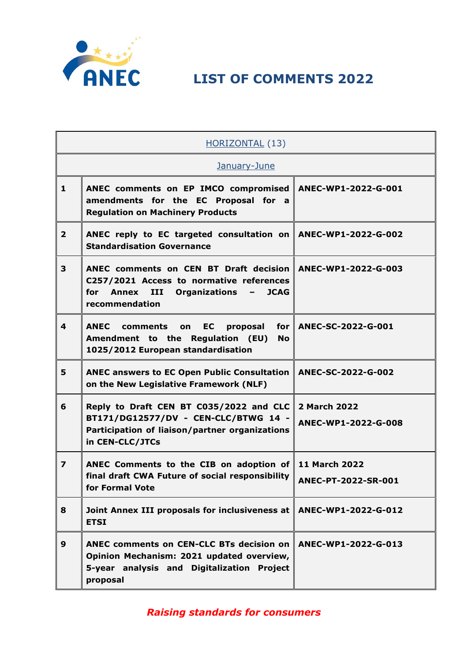

| HORIZONTAL (13)         |                                                                                                                                                                                                       |                                             |  |
|-------------------------|-------------------------------------------------------------------------------------------------------------------------------------------------------------------------------------------------------|---------------------------------------------|--|
|                         | January-June                                                                                                                                                                                          |                                             |  |
| $\mathbf{1}$            | ANEC comments on EP IMCO compromised<br>amendments for the EC Proposal for a<br><b>Regulation on Machinery Products</b>                                                                               | ANEC-WP1-2022-G-001                         |  |
| $\overline{2}$          | ANEC reply to EC targeted consultation on<br><b>Standardisation Governance</b>                                                                                                                        | ANEC-WP1-2022-G-002                         |  |
| 3                       | ANEC comments on CEN BT Draft decision<br>C257/2021 Access to normative references<br>for<br><b>Annex</b><br>III<br><b>Organizations</b><br><b>JCAG</b><br>$\overline{\phantom{0}}$<br>recommendation | ANEC-WP1-2022-G-003                         |  |
| 4                       | <b>ANEC</b><br>comments<br>EC<br>proposal<br>for<br>on<br>Amendment to the Regulation (EU)<br><b>No</b><br>1025/2012 European standardisation                                                         | ANEC-SC-2022-G-001                          |  |
| 5                       | <b>ANEC answers to EC Open Public Consultation</b><br>on the New Legislative Framework (NLF)                                                                                                          | ANEC-SC-2022-G-002                          |  |
| 6                       | Reply to Draft CEN BT C035/2022 and CLC<br>BT171/DG12577/DV - CEN-CLC/BTWG 14 -<br>Participation of liaison/partner organizations<br>in CEN-CLC/JTCs                                                  | <b>2 March 2022</b><br>ANEC-WP1-2022-G-008  |  |
| $\overline{\mathbf{z}}$ | ANEC Comments to the CIB on adoption of<br>final draft CWA Future of social responsibility<br>for Formal Vote                                                                                         | <b>11 March 2022</b><br>ANEC-PT-2022-SR-001 |  |
| 8                       | Joint Annex III proposals for inclusiveness at<br><b>ETSI</b>                                                                                                                                         | ANEC-WP1-2022-G-012                         |  |
| 9                       | ANEC comments on CEN-CLC BTs decision on<br>Opinion Mechanism: 2021 updated overview,<br>5-year analysis and Digitalization Project<br>proposal                                                       | ANEC-WP1-2022-G-013                         |  |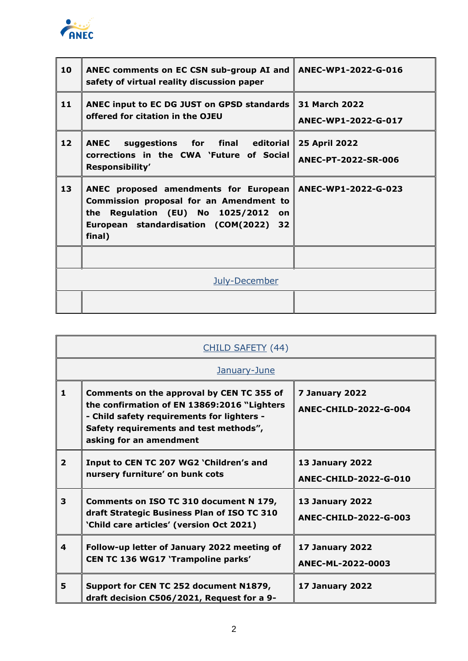

| 10 | ANEC comments on EC CSN sub-group AI and<br>safety of virtual reality discussion paper                                                                                               | ANEC-WP1-2022-G-016                         |
|----|--------------------------------------------------------------------------------------------------------------------------------------------------------------------------------------|---------------------------------------------|
| 11 | ANEC input to EC DG JUST on GPSD standards<br>offered for citation in the OJEU                                                                                                       | <b>31 March 2022</b><br>ANEC-WP1-2022-G-017 |
| 12 | suggestions for final editorial<br><b>ANEC</b><br>corrections in the CWA `Future of Social<br>Responsibility'                                                                        | <b>25 April 2022</b><br>ANEC-PT-2022-SR-006 |
| 13 | ANEC proposed amendments for European<br>Commission proposal for an Amendment to<br>Regulation (EU) No 1025/2012<br>the<br>on<br>European standardisation (COM(2022)<br>32<br>final) | ANEC-WP1-2022-G-023                         |
|    |                                                                                                                                                                                      |                                             |
|    | July-December                                                                                                                                                                        |                                             |
|    |                                                                                                                                                                                      |                                             |

| CHILD SAFETY (44) |                                                                                                                                                                                                             |                                                 |  |
|-------------------|-------------------------------------------------------------------------------------------------------------------------------------------------------------------------------------------------------------|-------------------------------------------------|--|
|                   | January-June                                                                                                                                                                                                |                                                 |  |
| 1                 | Comments on the approval by CEN TC 355 of<br>the confirmation of EN 13869:2016 "Lighters<br>- Child safety requirements for lighters -<br>Safety requirements and test methods",<br>asking for an amendment | 7 January 2022<br><b>ANEC-CHILD-2022-G-004</b>  |  |
| $\overline{2}$    | Input to CEN TC 207 WG2 'Children's and<br>nursery furniture' on bunk cots                                                                                                                                  | <b>13 January 2022</b><br>ANEC-CHILD-2022-G-010 |  |
| 3                 | Comments on ISO TC 310 document N 179,<br>draft Strategic Business Plan of ISO TC 310<br>'Child care articles' (version Oct 2021)                                                                           | <b>13 January 2022</b><br>ANEC-CHILD-2022-G-003 |  |
| 4                 | Follow-up letter of January 2022 meeting of<br>CEN TC 136 WG17 'Trampoline parks'                                                                                                                           | <b>17 January 2022</b><br>ANEC-ML-2022-0003     |  |
| 5                 | Support for CEN TC 252 document N1879,<br>draft decision C506/2021, Request for a 9-                                                                                                                        | <b>17 January 2022</b>                          |  |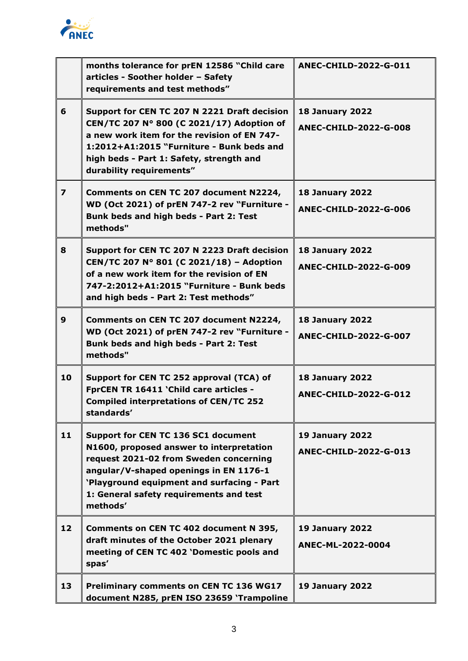

|                | months tolerance for prEN 12586 "Child care<br>articles - Soother holder - Safety<br>requirements and test methods"                                                                                                                                                      | ANEC-CHILD-2022-G-011                                  |
|----------------|--------------------------------------------------------------------------------------------------------------------------------------------------------------------------------------------------------------------------------------------------------------------------|--------------------------------------------------------|
| 6              | Support for CEN TC 207 N 2221 Draft decision<br>CEN/TC 207 N° 800 (C 2021/17) Adoption of<br>a new work item for the revision of EN 747-<br>1:2012+A1:2015 "Furniture - Bunk beds and<br>high beds - Part 1: Safety, strength and<br>durability requirements"            | <b>18 January 2022</b><br><b>ANEC-CHILD-2022-G-008</b> |
| $\overline{ }$ | Comments on CEN TC 207 document N2224,<br>WD (Oct 2021) of prEN 747-2 rev "Furniture -<br>Bunk beds and high beds - Part 2: Test<br>methods"                                                                                                                             | <b>18 January 2022</b><br><b>ANEC-CHILD-2022-G-006</b> |
| 8              | Support for CEN TC 207 N 2223 Draft decision<br>CEN/TC 207 N° 801 (C 2021/18) - Adoption<br>of a new work item for the revision of EN<br>747-2:2012+A1:2015 "Furniture - Bunk beds<br>and high beds - Part 2: Test methods"                                              | <b>18 January 2022</b><br><b>ANEC-CHILD-2022-G-009</b> |
| $\mathbf{9}$   | Comments on CEN TC 207 document N2224,<br>WD (Oct 2021) of prEN 747-2 rev "Furniture -<br>Bunk beds and high beds - Part 2: Test<br>methods"                                                                                                                             | <b>18 January 2022</b><br><b>ANEC-CHILD-2022-G-007</b> |
| 10             | Support for CEN TC 252 approval (TCA) of<br>FprCEN TR 16411 'Child care articles -<br><b>Compiled interpretations of CEN/TC 252</b><br>standards'                                                                                                                        | <b>18 January 2022</b><br><b>ANEC-CHILD-2022-G-012</b> |
| 11             | Support for CEN TC 136 SC1 document<br>N1600, proposed answer to interpretation<br>request 2021-02 from Sweden concerning<br>angular/V-shaped openings in EN 1176-1<br>'Playground equipment and surfacing - Part<br>1: General safety requirements and test<br>methods' | <b>19 January 2022</b><br>ANEC-CHILD-2022-G-013        |
| 12             | Comments on CEN TC 402 document N 395,<br>draft minutes of the October 2021 plenary<br>meeting of CEN TC 402 'Domestic pools and<br>spas'                                                                                                                                | <b>19 January 2022</b><br>ANEC-ML-2022-0004            |
| 13             | Preliminary comments on CEN TC 136 WG17<br>document N285, prEN ISO 23659 'Trampoline                                                                                                                                                                                     | <b>19 January 2022</b>                                 |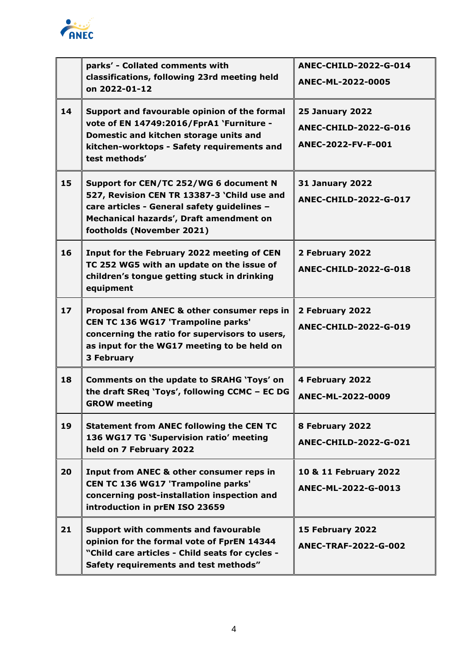

|                 | parks' - Collated comments with<br>classifications, following 23rd meeting held<br>on 2022-01-12                                                                                                             | <b>ANEC-CHILD-2022-G-014</b><br>ANEC-ML-2022-0005                            |
|-----------------|--------------------------------------------------------------------------------------------------------------------------------------------------------------------------------------------------------------|------------------------------------------------------------------------------|
| 14              | Support and favourable opinion of the formal<br>vote of EN 14749:2016/FprA1 `Furniture -<br>Domestic and kitchen storage units and<br>kitchen-worktops - Safety requirements and<br>test methods'            | <b>25 January 2022</b><br><b>ANEC-CHILD-2022-G-016</b><br>ANEC-2022-FV-F-001 |
| 15              | Support for CEN/TC 252/WG 6 document N<br>527, Revision CEN TR 13387-3 'Child use and<br>care articles - General safety guidelines -<br>Mechanical hazards', Draft amendment on<br>footholds (November 2021) | <b>31 January 2022</b><br>ANEC-CHILD-2022-G-017                              |
| 16              | Input for the February 2022 meeting of CEN<br>TC 252 WG5 with an update on the issue of<br>children's tongue getting stuck in drinking<br>equipment                                                          | 2 February 2022<br>ANEC-CHILD-2022-G-018                                     |
| 17 <sup>2</sup> | Proposal from ANEC & other consumer reps in<br>CEN TC 136 WG17 'Trampoline parks'<br>concerning the ratio for supervisors to users,<br>as input for the WG17 meeting to be held on<br><b>3 February</b>      | 2 February 2022<br><b>ANEC-CHILD-2022-G-019</b>                              |
| 18              | <b>Comments on the update to SRAHG 'Toys' on</b><br>the draft SReq 'Toys', following CCMC - EC DG<br><b>GROW meeting</b>                                                                                     | 4 February 2022<br>ANEC-ML-2022-0009                                         |
| 19              | <b>Statement from ANEC following the CEN TC</b><br>136 WG17 TG 'Supervision ratio' meeting<br>held on 7 February 2022                                                                                        | 8 February 2022<br><b>ANEC-CHILD-2022-G-021</b>                              |
| 20              | Input from ANEC & other consumer reps in<br><b>CEN TC 136 WG17 'Trampoline parks'</b><br>concerning post-installation inspection and<br>introduction in prEN ISO 23659                                       | 10 & 11 February 2022<br>ANEC-ML-2022-G-0013                                 |
| 21              | <b>Support with comments and favourable</b><br>opinion for the formal vote of FprEN 14344<br>"Child care articles - Child seats for cycles -<br>Safety requirements and test methods"                        | 15 February 2022<br><b>ANEC-TRAF-2022-G-002</b>                              |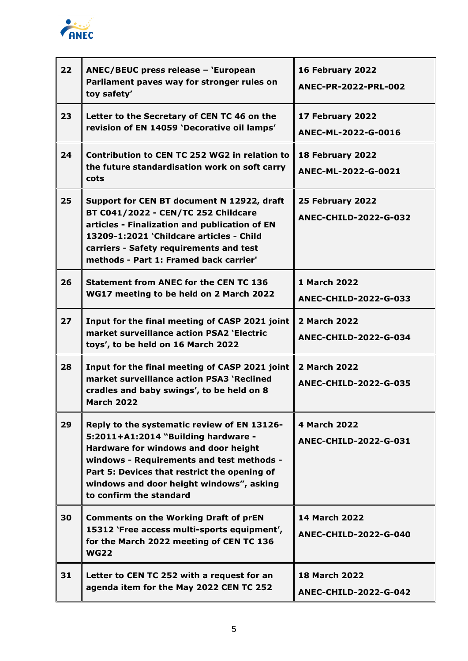

| 22 | ANEC/BEUC press release - 'European<br>Parliament paves way for stronger rules on<br>toy safety'                                                                                                                                                                                               | 16 February 2022<br>ANEC-PR-2022-PRL-002             |
|----|------------------------------------------------------------------------------------------------------------------------------------------------------------------------------------------------------------------------------------------------------------------------------------------------|------------------------------------------------------|
| 23 | Letter to the Secretary of CEN TC 46 on the<br>revision of EN 14059 'Decorative oil lamps'                                                                                                                                                                                                     | 17 February 2022<br>ANEC-ML-2022-G-0016              |
| 24 | Contribution to CEN TC 252 WG2 in relation to<br>the future standardisation work on soft carry<br>cots                                                                                                                                                                                         | 18 February 2022<br>ANEC-ML-2022-G-0021              |
| 25 | Support for CEN BT document N 12922, draft<br>BT C041/2022 - CEN/TC 252 Childcare<br>articles - Finalization and publication of EN<br>13209-1:2021 'Childcare articles - Child<br>carriers - Safety requirements and test<br>methods - Part 1: Framed back carrier'                            | 25 February 2022<br><b>ANEC-CHILD-2022-G-032</b>     |
| 26 | <b>Statement from ANEC for the CEN TC 136</b><br>WG17 meeting to be held on 2 March 2022                                                                                                                                                                                                       | 1 March 2022<br><b>ANEC-CHILD-2022-G-033</b>         |
| 27 | Input for the final meeting of CASP 2021 joint<br>market surveillance action PSA2 'Electric<br>toys', to be held on 16 March 2022                                                                                                                                                              | <b>2 March 2022</b><br><b>ANEC-CHILD-2022-G-034</b>  |
| 28 | Input for the final meeting of CASP 2021 joint<br>market surveillance action PSA3 'Reclined<br>cradles and baby swings', to be held on 8<br><b>March 2022</b>                                                                                                                                  | <b>2 March 2022</b><br><b>ANEC-CHILD-2022-G-035</b>  |
| 29 | Reply to the systematic review of EN 13126-<br>5:2011+A1:2014 "Building hardware -<br>Hardware for windows and door height<br>windows - Requirements and test methods -<br>Part 5: Devices that restrict the opening of<br>windows and door height windows", asking<br>to confirm the standard | 4 March 2022<br><b>ANEC-CHILD-2022-G-031</b>         |
| 30 | <b>Comments on the Working Draft of prEN</b><br>15312 'Free access multi-sports equipment',<br>for the March 2022 meeting of CEN TC 136<br><b>WG22</b>                                                                                                                                         | <b>14 March 2022</b><br><b>ANEC-CHILD-2022-G-040</b> |
| 31 | Letter to CEN TC 252 with a request for an<br>agenda item for the May 2022 CEN TC 252                                                                                                                                                                                                          | <b>18 March 2022</b><br><b>ANEC-CHILD-2022-G-042</b> |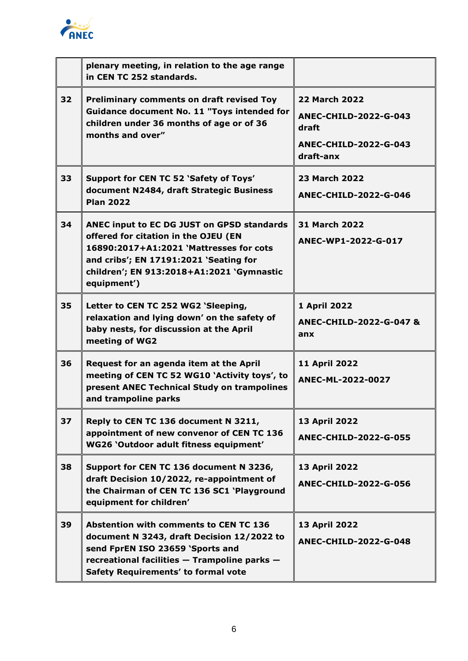

|    | plenary meeting, in relation to the age range<br>in CEN TC 252 standards.                                                                                                                                                           |                                                                                                            |
|----|-------------------------------------------------------------------------------------------------------------------------------------------------------------------------------------------------------------------------------------|------------------------------------------------------------------------------------------------------------|
| 32 | <b>Preliminary comments on draft revised Toy</b><br><b>Guidance document No. 11 "Toys intended for</b><br>children under 36 months of age or of 36<br>months and over"                                                              | <b>22 March 2022</b><br><b>ANEC-CHILD-2022-G-043</b><br>draft<br><b>ANEC-CHILD-2022-G-043</b><br>draft-anx |
| 33 | Support for CEN TC 52 'Safety of Toys'<br>document N2484, draft Strategic Business<br><b>Plan 2022</b>                                                                                                                              | <b>23 March 2022</b><br><b>ANEC-CHILD-2022-G-046</b>                                                       |
| 34 | ANEC input to EC DG JUST on GPSD standards<br>offered for citation in the OJEU (EN<br>16890:2017+A1:2021 'Mattresses for cots<br>and cribs'; EN 17191:2021 'Seating for<br>children'; EN 913:2018+A1:2021 'Gymnastic<br>equipment') | <b>31 March 2022</b><br>ANEC-WP1-2022-G-017                                                                |
| 35 | Letter to CEN TC 252 WG2 'Sleeping,<br>relaxation and lying down' on the safety of<br>baby nests, for discussion at the April<br>meeting of WG2                                                                                     | 1 April 2022<br><b>ANEC-CHILD-2022-G-047 &amp;</b><br>anx                                                  |
| 36 | Request for an agenda item at the April<br>meeting of CEN TC 52 WG10 'Activity toys', to<br>present ANEC Technical Study on trampolines<br>and trampoline parks                                                                     | 11 April 2022<br>ANEC-ML-2022-0027                                                                         |
| 37 | Reply to CEN TC 136 document N 3211,<br>appointment of new convenor of CEN TC 136<br>WG26 'Outdoor adult fitness equipment'                                                                                                         | 13 April 2022<br><b>ANEC-CHILD-2022-G-055</b>                                                              |
| 38 | Support for CEN TC 136 document N 3236,<br>draft Decision 10/2022, re-appointment of<br>the Chairman of CEN TC 136 SC1 'Playground<br>equipment for children'                                                                       | 13 April 2022<br><b>ANEC-CHILD-2022-G-056</b>                                                              |
| 39 | <b>Abstention with comments to CEN TC 136</b><br>document N 3243, draft Decision 12/2022 to<br>send FprEN ISO 23659 'Sports and<br>recreational facilities - Trampoline parks -<br>Safety Requirements' to formal vote              | 13 April 2022<br><b>ANEC-CHILD-2022-G-048</b>                                                              |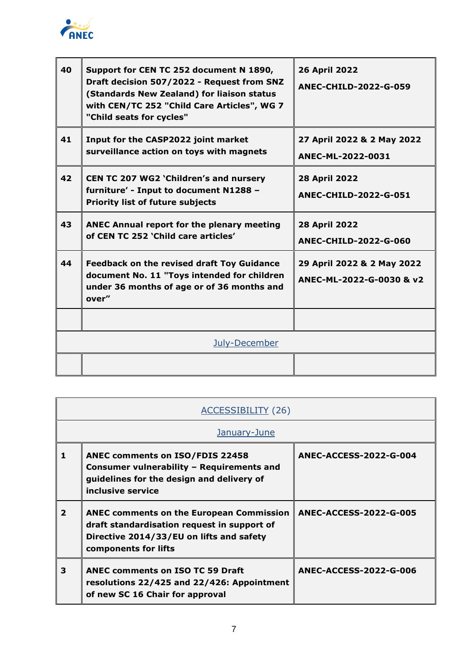

| 40 | Support for CEN TC 252 document N 1890,<br>Draft decision 507/2022 - Request from SNZ<br>(Standards New Zealand) for liaison status<br>with CEN/TC 252 "Child Care Articles", WG 7<br>"Child seats for cycles" | <b>26 April 2022</b><br><b>ANEC-CHILD-2022-G-059</b>   |
|----|----------------------------------------------------------------------------------------------------------------------------------------------------------------------------------------------------------------|--------------------------------------------------------|
| 41 | Input for the CASP2022 joint market<br>surveillance action on toys with magnets                                                                                                                                | 27 April 2022 & 2 May 2022<br>ANEC-ML-2022-0031        |
| 42 | CEN TC 207 WG2 'Children's and nursery<br>furniture' - Input to document N1288 -<br><b>Priority list of future subjects</b>                                                                                    | <b>28 April 2022</b><br><b>ANEC-CHILD-2022-G-051</b>   |
| 43 | <b>ANEC Annual report for the plenary meeting</b><br>of CEN TC 252 'Child care articles'                                                                                                                       | <b>28 April 2022</b><br><b>ANEC-CHILD-2022-G-060</b>   |
| 44 | <b>Feedback on the revised draft Toy Guidance</b><br>document No. 11 "Toys intended for children<br>under 36 months of age or of 36 months and<br>over"                                                        | 29 April 2022 & 2 May 2022<br>ANEC-ML-2022-G-0030 & v2 |
|    |                                                                                                                                                                                                                |                                                        |
|    | July-December                                                                                                                                                                                                  |                                                        |
|    |                                                                                                                                                                                                                |                                                        |

|   | <b>ACCESSIBILITY (26)</b>                                                                                                                                          |                        |  |
|---|--------------------------------------------------------------------------------------------------------------------------------------------------------------------|------------------------|--|
|   | January-June                                                                                                                                                       |                        |  |
| 1 | <b>ANEC comments on ISO/FDIS 22458</b><br>Consumer vulnerability - Requirements and<br>guidelines for the design and delivery of<br>inclusive service              | ANEC-ACCESS-2022-G-004 |  |
| 2 | <b>ANEC comments on the European Commission</b><br>draft standardisation request in support of<br>Directive 2014/33/EU on lifts and safety<br>components for lifts | ANEC-ACCESS-2022-G-005 |  |
| 3 | <b>ANEC comments on ISO TC 59 Draft</b><br>resolutions 22/425 and 22/426: Appointment<br>of new SC 16 Chair for approval                                           | ANEC-ACCESS-2022-G-006 |  |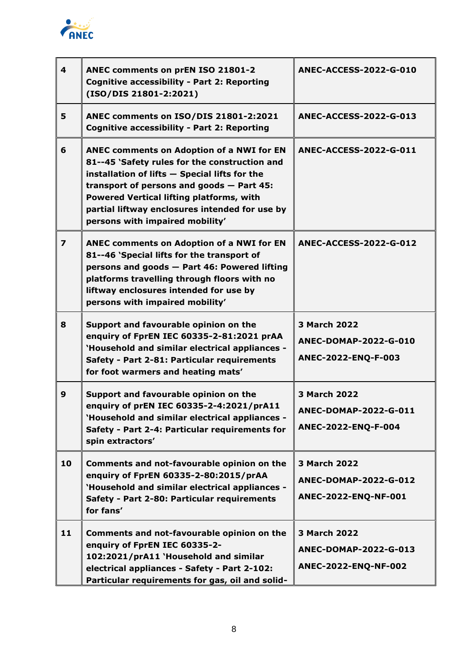

| $\overline{\mathbf{A}}$ | ANEC comments on prEN ISO 21801-2<br><b>Cognitive accessibility - Part 2: Reporting</b><br>(ISO/DIS 21801-2:2021)                                                                                                                                                                                                                  | <b>ANEC-ACCESS-2022-G-010</b>                                        |
|-------------------------|------------------------------------------------------------------------------------------------------------------------------------------------------------------------------------------------------------------------------------------------------------------------------------------------------------------------------------|----------------------------------------------------------------------|
| 5                       | ANEC comments on ISO/DIS 21801-2:2021<br><b>Cognitive accessibility - Part 2: Reporting</b>                                                                                                                                                                                                                                        | <b>ANEC-ACCESS-2022-G-013</b>                                        |
| 6                       | <b>ANEC comments on Adoption of a NWI for EN</b><br>81--45 'Safety rules for the construction and<br>installation of lifts - Special lifts for the<br>transport of persons and goods $-$ Part 45:<br>Powered Vertical lifting platforms, with<br>partial liftway enclosures intended for use by<br>persons with impaired mobility' | <b>ANEC-ACCESS-2022-G-011</b>                                        |
| $\overline{\mathbf{z}}$ | ANEC comments on Adoption of a NWI for EN<br>81--46 'Special lifts for the transport of<br>persons and goods - Part 46: Powered lifting<br>platforms travelling through floors with no<br>liftway enclosures intended for use by<br>persons with impaired mobility'                                                                | <b>ANEC-ACCESS-2022-G-012</b>                                        |
| 8                       | Support and favourable opinion on the<br>enquiry of FprEN IEC 60335-2-81:2021 prAA<br>'Household and similar electrical appliances -<br>Safety - Part 2-81: Particular requirements<br>for foot warmers and heating mats'                                                                                                          | <b>3 March 2022</b><br>ANEC-DOMAP-2022-G-010<br>ANEC-2022-ENQ-F-003  |
| 9                       | Support and favourable opinion on the<br>enquiry of prEN IEC 60335-2-4:2021/prA11<br>'Household and similar electrical appliances -<br>Safety - Part 2-4: Particular requirements for<br>spin extractors'                                                                                                                          | <b>3 March 2022</b><br>ANEC-DOMAP-2022-G-011<br>ANEC-2022-ENQ-F-004  |
| 10                      | Comments and not-favourable opinion on the<br>enquiry of FprEN 60335-2-80:2015/prAA<br>'Household and similar electrical appliances -<br>Safety - Part 2-80: Particular requirements<br>for fans'                                                                                                                                  | 3 March 2022<br>ANEC-DOMAP-2022-G-012<br>ANEC-2022-ENQ-NF-001        |
| 11                      | Comments and not-favourable opinion on the<br>enquiry of FprEN IEC 60335-2-<br>102:2021/prA11 'Household and similar<br>electrical appliances - Safety - Part 2-102:<br>Particular requirements for gas, oil and solid-                                                                                                            | <b>3 March 2022</b><br>ANEC-DOMAP-2022-G-013<br>ANEC-2022-ENQ-NF-002 |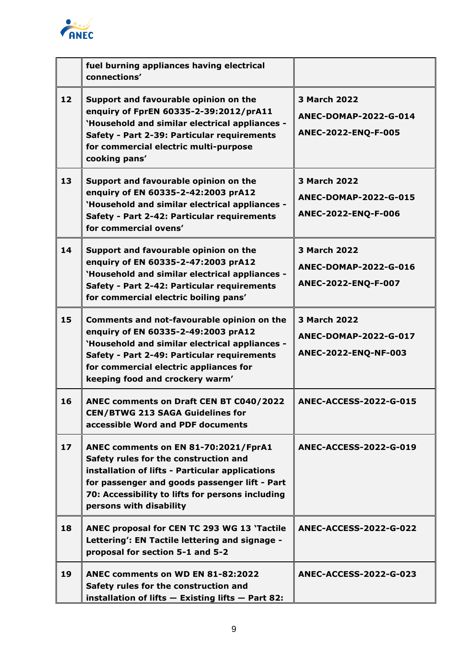

|                 | fuel burning appliances having electrical<br>connections'                                                                                                                                                                                                        |                                                                            |
|-----------------|------------------------------------------------------------------------------------------------------------------------------------------------------------------------------------------------------------------------------------------------------------------|----------------------------------------------------------------------------|
| 12 <sub>2</sub> | Support and favourable opinion on the<br>enquiry of FprEN 60335-2-39:2012/prA11<br>'Household and similar electrical appliances -<br>Safety - Part 2-39: Particular requirements<br>for commercial electric multi-purpose<br>cooking pans'                       | <b>3 March 2022</b><br>ANEC-DOMAP-2022-G-014<br>ANEC-2022-ENQ-F-005        |
| 13              | Support and favourable opinion on the<br>enquiry of EN 60335-2-42:2003 prA12<br>'Household and similar electrical appliances -<br>Safety - Part 2-42: Particular requirements<br>for commercial ovens'                                                           | <b>3 March 2022</b><br><b>ANEC-DOMAP-2022-G-015</b><br>ANEC-2022-ENQ-F-006 |
| 14              | Support and favourable opinion on the<br>enquiry of EN 60335-2-47:2003 prA12<br>'Household and similar electrical appliances -<br>Safety - Part 2-42: Particular requirements<br>for commercial electric boiling pans'                                           | 3 March 2022<br>ANEC-DOMAP-2022-G-016<br>ANEC-2022-ENQ-F-007               |
| 15              | Comments and not-favourable opinion on the<br>enquiry of EN 60335-2-49:2003 prA12<br>'Household and similar electrical appliances -<br>Safety - Part 2-49: Particular requirements<br>for commercial electric appliances for<br>keeping food and crockery warm'  | <b>3 March 2022</b><br>ANEC-DOMAP-2022-G-017<br>ANEC-2022-ENQ-NF-003       |
| 16              | ANEC comments on Draft CEN BT C040/2022<br><b>CEN/BTWG 213 SAGA Guidelines for</b><br>accessible Word and PDF documents                                                                                                                                          | <b>ANEC-ACCESS-2022-G-015</b>                                              |
| 17              | ANEC comments on EN 81-70:2021/FprA1<br>Safety rules for the construction and<br>installation of lifts - Particular applications<br>for passenger and goods passenger lift - Part<br>70: Accessibility to lifts for persons including<br>persons with disability | <b>ANEC-ACCESS-2022-G-019</b>                                              |
| 18              | ANEC proposal for CEN TC 293 WG 13 'Tactile<br>Lettering': EN Tactile lettering and signage -<br>proposal for section 5-1 and 5-2                                                                                                                                | <b>ANEC-ACCESS-2022-G-022</b>                                              |
| 19              | ANEC comments on WD EN 81-82:2022<br>Safety rules for the construction and<br>installation of lifts $-$ Existing lifts $-$ Part 82:                                                                                                                              | <b>ANEC-ACCESS-2022-G-023</b>                                              |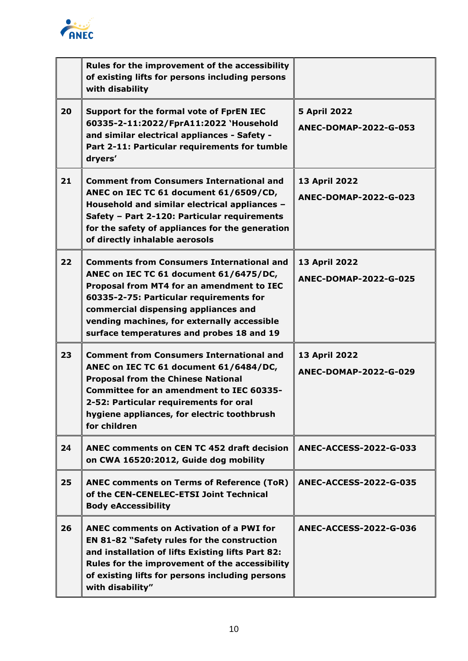

|    | Rules for the improvement of the accessibility<br>of existing lifts for persons including persons<br>with disability                                                                                                                                                                                                   |                                              |
|----|------------------------------------------------------------------------------------------------------------------------------------------------------------------------------------------------------------------------------------------------------------------------------------------------------------------------|----------------------------------------------|
| 20 | Support for the formal vote of FprEN IEC<br>60335-2-11:2022/FprA11:2022 'Household<br>and similar electrical appliances - Safety -<br>Part 2-11: Particular requirements for tumble<br>dryers'                                                                                                                         | <b>5 April 2022</b><br>ANEC-DOMAP-2022-G-053 |
| 21 | <b>Comment from Consumers International and</b><br>ANEC on IEC TC 61 document 61/6509/CD,<br>Household and similar electrical appliances -<br>Safety - Part 2-120: Particular requirements<br>for the safety of appliances for the generation<br>of directly inhalable aerosols                                        | 13 April 2022<br>ANEC-DOMAP-2022-G-023       |
| 22 | <b>Comments from Consumers International and</b><br>ANEC on IEC TC 61 document 61/6475/DC,<br>Proposal from MT4 for an amendment to IEC<br>60335-2-75: Particular requirements for<br>commercial dispensing appliances and<br>vending machines, for externally accessible<br>surface temperatures and probes 18 and 19 | 13 April 2022<br>ANEC-DOMAP-2022-G-025       |
| 23 | <b>Comment from Consumers International and</b><br>ANEC on IEC TC 61 document 61/6484/DC,<br><b>Proposal from the Chinese National</b><br><b>Committee for an amendment to IEC 60335-</b><br>2-52: Particular requirements for oral<br>hygiene appliances, for electric toothbrush<br>for children                     | 13 April 2022<br>ANEC-DOMAP-2022-G-029       |
| 24 | ANEC comments on CEN TC 452 draft decision<br>on CWA 16520:2012, Guide dog mobility                                                                                                                                                                                                                                    | ANEC-ACCESS-2022-G-033                       |
| 25 | <b>ANEC comments on Terms of Reference (ToR)</b><br>of the CEN-CENELEC-ETSI Joint Technical<br><b>Body eAccessibility</b>                                                                                                                                                                                              | <b>ANEC-ACCESS-2022-G-035</b>                |
| 26 | <b>ANEC comments on Activation of a PWI for</b><br><b>EN 81-82 "Safety rules for the construction</b><br>and installation of lifts Existing lifts Part 82:<br>Rules for the improvement of the accessibility<br>of existing lifts for persons including persons<br>with disability"                                    | ANEC-ACCESS-2022-G-036                       |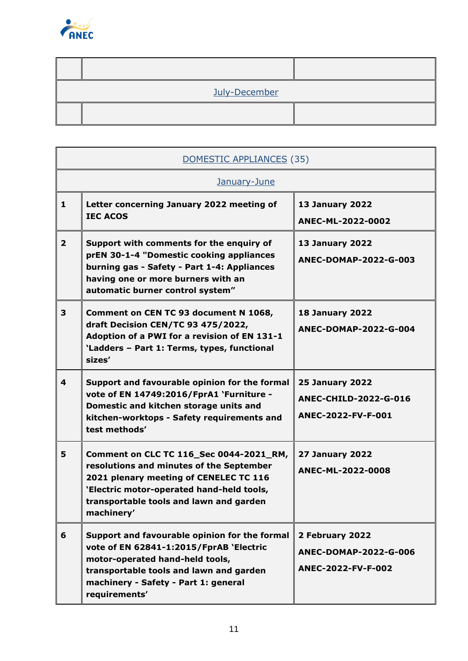

| July-December |  |
|---------------|--|
|               |  |

| DOMESTIC APPLIANCES (35) |                                                                                                                                                                                                                                     |                                                                              |  |
|--------------------------|-------------------------------------------------------------------------------------------------------------------------------------------------------------------------------------------------------------------------------------|------------------------------------------------------------------------------|--|
|                          | January-June                                                                                                                                                                                                                        |                                                                              |  |
| 1                        | Letter concerning January 2022 meeting of<br><b>IEC ACOS</b>                                                                                                                                                                        | <b>13 January 2022</b><br>ANEC-ML-2022-0002                                  |  |
| $\overline{2}$           | Support with comments for the enquiry of<br>prEN 30-1-4 "Domestic cooking appliances<br>burning gas - Safety - Part 1-4: Appliances<br>having one or more burners with an<br>automatic burner control system"                       | <b>13 January 2022</b><br>ANEC-DOMAP-2022-G-003                              |  |
| 3                        | Comment on CEN TC 93 document N 1068,<br>draft Decision CEN/TC 93 475/2022,<br>Adoption of a PWI for a revision of EN 131-1<br>'Ladders - Part 1: Terms, types, functional<br>sizes'                                                | <b>18 January 2022</b><br>ANEC-DOMAP-2022-G-004                              |  |
| 4                        | Support and favourable opinion for the formal<br>vote of EN 14749:2016/FprA1 `Furniture -<br>Domestic and kitchen storage units and<br>kitchen-worktops - Safety requirements and<br>test methods'                                  | <b>25 January 2022</b><br><b>ANEC-CHILD-2022-G-016</b><br>ANEC-2022-FV-F-001 |  |
| 5                        | Comment on CLC TC 116_Sec 0044-2021_RM,<br>resolutions and minutes of the September<br>2021 plenary meeting of CENELEC TC 116<br>'Electric motor-operated hand-held tools,<br>transportable tools and lawn and garden<br>machinery' | <b>27 January 2022</b><br>ANEC-ML-2022-0008                                  |  |
| 6                        | Support and favourable opinion for the formal<br>vote of EN 62841-1:2015/FprAB 'Electric<br>motor-operated hand-held tools,<br>transportable tools and lawn and garden<br>machinery - Safety - Part 1: general<br>requirements'     | 2 February 2022<br>ANEC-DOMAP-2022-G-006<br>ANEC-2022-FV-F-002               |  |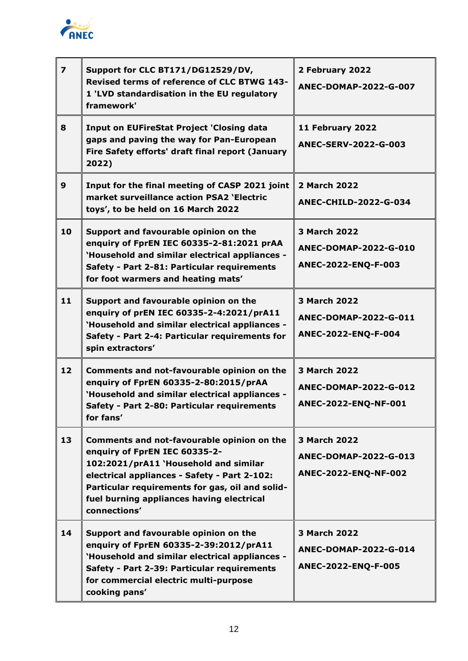

| $\overline{\mathbf{z}}$ | Support for CLC BT171/DG12529/DV,<br>Revised terms of reference of CLC BTWG 143-<br>1 'LVD standardisation in the EU regulatory<br>framework'                                                                                                                                        | 2 February 2022<br>ANEC-DOMAP-2022-G-007                                   |
|-------------------------|--------------------------------------------------------------------------------------------------------------------------------------------------------------------------------------------------------------------------------------------------------------------------------------|----------------------------------------------------------------------------|
| 8                       | <b>Input on EUFireStat Project 'Closing data</b><br>gaps and paving the way for Pan-European<br>Fire Safety efforts' draft final report (January<br>2022)                                                                                                                            | 11 February 2022<br>ANEC-SERV-2022-G-003                                   |
| 9                       | Input for the final meeting of CASP 2021 joint<br>market surveillance action PSA2 'Electric<br>toys', to be held on 16 March 2022                                                                                                                                                    | 2 March 2022<br><b>ANEC-CHILD-2022-G-034</b>                               |
| 10                      | Support and favourable opinion on the<br>enquiry of FprEN IEC 60335-2-81:2021 prAA<br>'Household and similar electrical appliances -<br>Safety - Part 2-81: Particular requirements<br>for foot warmers and heating mats'                                                            | <b>3 March 2022</b><br>ANEC-DOMAP-2022-G-010<br>ANEC-2022-ENQ-F-003        |
| 11                      | Support and favourable opinion on the<br>enquiry of prEN IEC 60335-2-4:2021/prA11<br>'Household and similar electrical appliances -<br>Safety - Part 2-4: Particular requirements for<br>spin extractors'                                                                            | <b>3 March 2022</b><br><b>ANEC-DOMAP-2022-G-011</b><br>ANEC-2022-ENQ-F-004 |
| 12                      | Comments and not-favourable opinion on the<br>enquiry of FprEN 60335-2-80:2015/prAA<br>'Household and similar electrical appliances -<br>Safety - Part 2-80: Particular requirements<br>for fans'                                                                                    | <b>3 March 2022</b><br>ANEC-DOMAP-2022-G-012<br>ANEC-2022-ENQ-NF-001       |
| 13                      | Comments and not-favourable opinion on the<br>enquiry of FprEN IEC 60335-2-<br>102:2021/prA11 'Household and similar<br>electrical appliances - Safety - Part 2-102:<br>Particular requirements for gas, oil and solid-<br>fuel burning appliances having electrical<br>connections' | <b>3 March 2022</b><br>ANEC-DOMAP-2022-G-013<br>ANEC-2022-ENQ-NF-002       |
| 14                      | Support and favourable opinion on the<br>enquiry of FprEN 60335-2-39:2012/prA11<br>'Household and similar electrical appliances -<br>Safety - Part 2-39: Particular requirements<br>for commercial electric multi-purpose<br>cooking pans'                                           | 3 March 2022<br>ANEC-DOMAP-2022-G-014<br>ANEC-2022-ENQ-F-005               |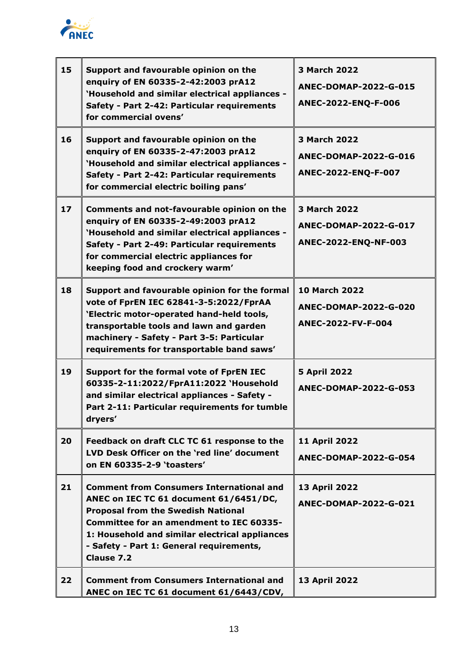

| 15 | Support and favourable opinion on the<br>enquiry of EN 60335-2-42:2003 prA12<br>'Household and similar electrical appliances -<br>Safety - Part 2-42: Particular requirements<br>for commercial ovens'                                                                                                | <b>3 March 2022</b><br>ANEC-DOMAP-2022-G-015<br>ANEC-2022-ENQ-F-006  |
|----|-------------------------------------------------------------------------------------------------------------------------------------------------------------------------------------------------------------------------------------------------------------------------------------------------------|----------------------------------------------------------------------|
| 16 | Support and favourable opinion on the<br>enquiry of EN 60335-2-47:2003 prA12<br>'Household and similar electrical appliances -<br>Safety - Part 2-42: Particular requirements<br>for commercial electric boiling pans'                                                                                | 3 March 2022<br>ANEC-DOMAP-2022-G-016<br>ANEC-2022-ENQ-F-007         |
| 17 | Comments and not-favourable opinion on the<br>enquiry of EN 60335-2-49:2003 prA12<br>'Household and similar electrical appliances -<br>Safety - Part 2-49: Particular requirements<br>for commercial electric appliances for<br>keeping food and crockery warm'                                       | <b>3 March 2022</b><br>ANEC-DOMAP-2022-G-017<br>ANEC-2022-ENQ-NF-003 |
| 18 | Support and favourable opinion for the formal<br>vote of FprEN IEC 62841-3-5:2022/FprAA<br>'Electric motor-operated hand-held tools,<br>transportable tools and lawn and garden<br>machinery - Safety - Part 3-5: Particular<br>requirements for transportable band saws'                             | <b>10 March 2022</b><br>ANEC-DOMAP-2022-G-020<br>ANEC-2022-FV-F-004  |
| 19 | Support for the formal vote of FprEN IEC<br>60335-2-11:2022/FprA11:2022 'Household<br>and similar electrical appliances - Safety -<br>Part 2-11: Particular requirements for tumble<br>dryers'                                                                                                        | <b>5 April 2022</b><br>ANEC-DOMAP-2022-G-053                         |
| 20 | Feedback on draft CLC TC 61 response to the<br>LVD Desk Officer on the 'red line' document<br>on EN 60335-2-9 'toasters'                                                                                                                                                                              | <b>11 April 2022</b><br>ANEC-DOMAP-2022-G-054                        |
| 21 | <b>Comment from Consumers International and</b><br>ANEC on IEC TC 61 document 61/6451/DC,<br><b>Proposal from the Swedish National</b><br>Committee for an amendment to IEC 60335-<br>1: Household and similar electrical appliances<br>- Safety - Part 1: General requirements,<br><b>Clause 7.2</b> | <b>13 April 2022</b><br>ANEC-DOMAP-2022-G-021                        |
| 22 | <b>Comment from Consumers International and</b><br>ANEC on IEC TC 61 document 61/6443/CDV,                                                                                                                                                                                                            | 13 April 2022                                                        |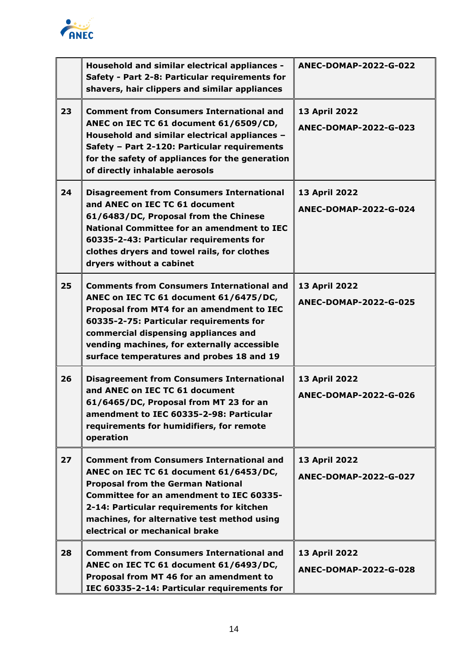

|    | Household and similar electrical appliances -<br>Safety - Part 2-8: Particular requirements for<br>shavers, hair clippers and similar appliances                                                                                                                                                                       | ANEC-DOMAP-2022-G-022                         |
|----|------------------------------------------------------------------------------------------------------------------------------------------------------------------------------------------------------------------------------------------------------------------------------------------------------------------------|-----------------------------------------------|
| 23 | <b>Comment from Consumers International and</b><br>ANEC on IEC TC 61 document 61/6509/CD,<br>Household and similar electrical appliances -<br>Safety - Part 2-120: Particular requirements<br>for the safety of appliances for the generation<br>of directly inhalable aerosols                                        | 13 April 2022<br>ANEC-DOMAP-2022-G-023        |
| 24 | <b>Disagreement from Consumers International</b><br>and ANEC on IEC TC 61 document<br>61/6483/DC, Proposal from the Chinese<br><b>National Committee for an amendment to IEC</b><br>60335-2-43: Particular requirements for<br>clothes dryers and towel rails, for clothes<br>dryers without a cabinet                 | 13 April 2022<br>ANEC-DOMAP-2022-G-024        |
| 25 | <b>Comments from Consumers International and</b><br>ANEC on IEC TC 61 document 61/6475/DC,<br>Proposal from MT4 for an amendment to IEC<br>60335-2-75: Particular requirements for<br>commercial dispensing appliances and<br>vending machines, for externally accessible<br>surface temperatures and probes 18 and 19 | 13 April 2022<br><b>ANEC-DOMAP-2022-G-025</b> |
| 26 | <b>Disagreement from Consumers International</b><br>and ANEC on IEC TC 61 document<br>61/6465/DC, Proposal from MT 23 for an<br>amendment to IEC 60335-2-98: Particular<br>requirements for humidifiers, for remote<br>operation                                                                                       | 13 April 2022<br>ANEC-DOMAP-2022-G-026        |
| 27 | <b>Comment from Consumers International and</b><br>ANEC on IEC TC 61 document 61/6453/DC,<br><b>Proposal from the German National</b><br>Committee for an amendment to IEC 60335-<br>2-14: Particular requirements for kitchen<br>machines, for alternative test method using<br>electrical or mechanical brake        | 13 April 2022<br>ANEC-DOMAP-2022-G-027        |
| 28 | <b>Comment from Consumers International and</b><br>ANEC on IEC TC 61 document 61/6493/DC,<br>Proposal from MT 46 for an amendment to<br>IEC 60335-2-14: Particular requirements for                                                                                                                                    | 13 April 2022<br>ANEC-DOMAP-2022-G-028        |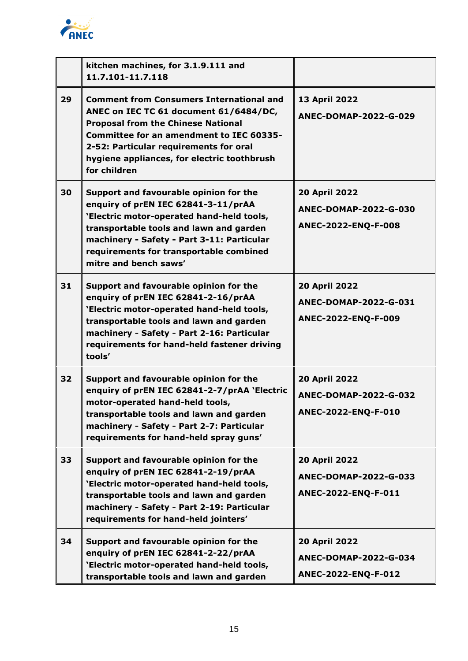

|    | kitchen machines, for 3.1.9.111 and<br>11.7.101-11.7.118                                                                                                                                                                                                                                           |                                                                             |
|----|----------------------------------------------------------------------------------------------------------------------------------------------------------------------------------------------------------------------------------------------------------------------------------------------------|-----------------------------------------------------------------------------|
| 29 | <b>Comment from Consumers International and</b><br>ANEC on IEC TC 61 document 61/6484/DC,<br><b>Proposal from the Chinese National</b><br><b>Committee for an amendment to IEC 60335-</b><br>2-52: Particular requirements for oral<br>hygiene appliances, for electric toothbrush<br>for children | 13 April 2022<br>ANEC-DOMAP-2022-G-029                                      |
| 30 | Support and favourable opinion for the<br>enquiry of prEN IEC 62841-3-11/prAA<br>'Electric motor-operated hand-held tools,<br>transportable tools and lawn and garden<br>machinery - Safety - Part 3-11: Particular<br>requirements for transportable combined<br>mitre and bench saws'            | <b>20 April 2022</b><br>ANEC-DOMAP-2022-G-030<br>ANEC-2022-ENQ-F-008        |
| 31 | Support and favourable opinion for the<br>enquiry of prEN IEC 62841-2-16/prAA<br>'Electric motor-operated hand-held tools,<br>transportable tools and lawn and garden<br>machinery - Safety - Part 2-16: Particular<br>requirements for hand-held fastener driving<br>tools'                       | <b>20 April 2022</b><br>ANEC-DOMAP-2022-G-031<br>ANEC-2022-ENQ-F-009        |
| 32 | Support and favourable opinion for the<br>enquiry of prEN IEC 62841-2-7/prAA 'Electric<br>motor-operated hand-held tools,<br>transportable tools and lawn and garden<br>machinery - Safety - Part 2-7: Particular<br>requirements for hand-held spray guns'                                        | <b>20 April 2022</b><br><b>ANEC-DOMAP-2022-G-032</b><br>ANEC-2022-ENQ-F-010 |
| 33 | Support and favourable opinion for the<br>enquiry of prEN IEC 62841-2-19/prAA<br>'Electric motor-operated hand-held tools,<br>transportable tools and lawn and garden<br>machinery - Safety - Part 2-19: Particular<br>requirements for hand-held jointers'                                        | <b>20 April 2022</b><br>ANEC-DOMAP-2022-G-033<br>ANEC-2022-ENQ-F-011        |
| 34 | Support and favourable opinion for the<br>enquiry of prEN IEC 62841-2-22/prAA<br>'Electric motor-operated hand-held tools,<br>transportable tools and lawn and garden                                                                                                                              | <b>20 April 2022</b><br>ANEC-DOMAP-2022-G-034<br>ANEC-2022-ENQ-F-012        |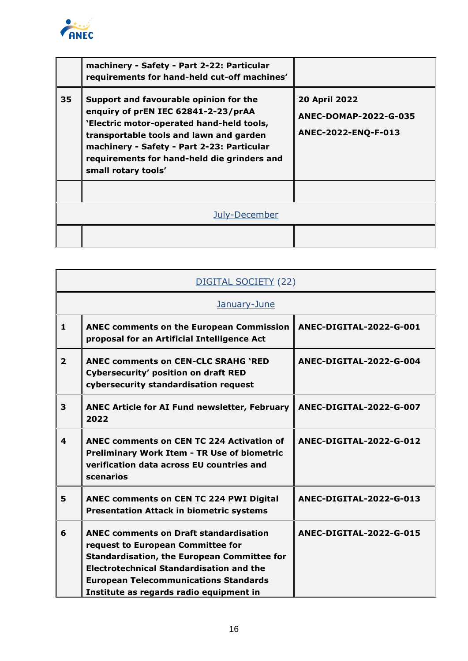

|    | machinery - Safety - Part 2-22: Particular<br>requirements for hand-held cut-off machines'                                                                                                                                                                                                |                                                                             |
|----|-------------------------------------------------------------------------------------------------------------------------------------------------------------------------------------------------------------------------------------------------------------------------------------------|-----------------------------------------------------------------------------|
| 35 | Support and favourable opinion for the<br>enquiry of prEN IEC 62841-2-23/prAA<br>'Electric motor-operated hand-held tools,<br>transportable tools and lawn and garden<br>machinery - Safety - Part 2-23: Particular<br>requirements for hand-held die grinders and<br>small rotary tools' | <b>20 April 2022</b><br><b>ANEC-DOMAP-2022-G-035</b><br>ANEC-2022-ENQ-F-013 |
|    |                                                                                                                                                                                                                                                                                           |                                                                             |
|    | July-December                                                                                                                                                                                                                                                                             |                                                                             |
|    |                                                                                                                                                                                                                                                                                           |                                                                             |

| DIGITAL SOCIETY (22) |                                                                                                                                                                                                                                                                                        |                         |  |
|----------------------|----------------------------------------------------------------------------------------------------------------------------------------------------------------------------------------------------------------------------------------------------------------------------------------|-------------------------|--|
|                      | January-June                                                                                                                                                                                                                                                                           |                         |  |
| $\mathbf{1}$         | <b>ANEC comments on the European Commission</b><br>proposal for an Artificial Intelligence Act                                                                                                                                                                                         | ANEC-DIGITAL-2022-G-001 |  |
| $\overline{2}$       | <b>ANEC comments on CEN-CLC SRAHG 'RED</b><br><b>Cybersecurity' position on draft RED</b><br>cybersecurity standardisation request                                                                                                                                                     | ANEC-DIGITAL-2022-G-004 |  |
| 3                    | <b>ANEC Article for AI Fund newsletter, February</b><br>2022                                                                                                                                                                                                                           | ANEC-DIGITAL-2022-G-007 |  |
| $\boldsymbol{4}$     | ANEC comments on CEN TC 224 Activation of<br><b>Preliminary Work Item - TR Use of biometric</b><br>verification data across EU countries and<br>scenarios                                                                                                                              | ANEC-DIGITAL-2022-G-012 |  |
| 5                    | ANEC comments on CEN TC 224 PWI Digital<br><b>Presentation Attack in biometric systems</b>                                                                                                                                                                                             | ANEC-DIGITAL-2022-G-013 |  |
| 6                    | <b>ANEC comments on Draft standardisation</b><br>request to European Committee for<br><b>Standardisation, the European Committee for</b><br><b>Electrotechnical Standardisation and the</b><br><b>European Telecommunications Standards</b><br>Institute as regards radio equipment in | ANEC-DIGITAL-2022-G-015 |  |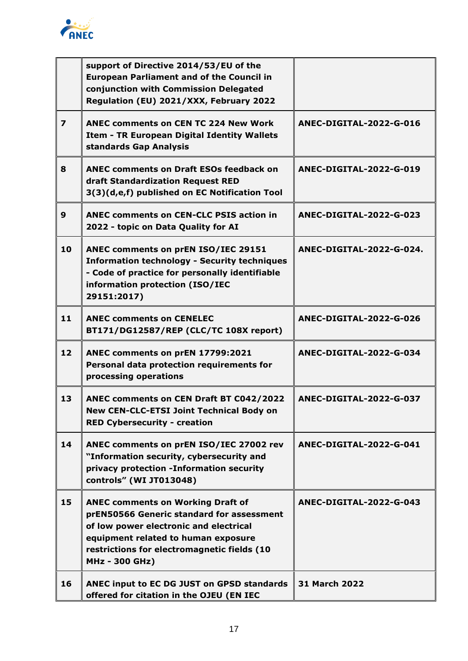

|                         | support of Directive 2014/53/EU of the<br><b>European Parliament and of the Council in</b><br>conjunction with Commission Delegated<br>Regulation (EU) 2021/XXX, February 2022                                                                 |                          |
|-------------------------|------------------------------------------------------------------------------------------------------------------------------------------------------------------------------------------------------------------------------------------------|--------------------------|
| $\overline{\mathbf{z}}$ | <b>ANEC comments on CEN TC 224 New Work</b><br>Item - TR European Digital Identity Wallets<br>standards Gap Analysis                                                                                                                           | ANEC-DIGITAL-2022-G-016  |
| 8                       | <b>ANEC comments on Draft ESOs feedback on</b><br>draft Standardization Request RED<br>3(3)(d,e,f) published on EC Notification Tool                                                                                                           | ANEC-DIGITAL-2022-G-019  |
| $\mathbf{9}$            | <b>ANEC comments on CEN-CLC PSIS action in</b><br>2022 - topic on Data Quality for AI                                                                                                                                                          | ANEC-DIGITAL-2022-G-023  |
| 10                      | ANEC comments on prEN ISO/IEC 29151<br><b>Information technology - Security techniques</b><br>- Code of practice for personally identifiable<br>information protection (ISO/IEC<br>29151:2017)                                                 | ANEC-DIGITAL-2022-G-024. |
| 11                      | <b>ANEC comments on CENELEC</b><br>BT171/DG12587/REP (CLC/TC 108X report)                                                                                                                                                                      | ANEC-DIGITAL-2022-G-026  |
| 12                      | ANEC comments on prEN 17799:2021<br>Personal data protection requirements for<br>processing operations                                                                                                                                         | ANEC-DIGITAL-2022-G-034  |
| 13                      | ANEC comments on CEN Draft BT C042/2022<br>New CEN-CLC-ETSI Joint Technical Body on<br><b>RED Cybersecurity - creation</b>                                                                                                                     | ANEC-DIGITAL-2022-G-037  |
| 14                      | ANEC comments on prEN ISO/IEC 27002 rev<br>"Information security, cybersecurity and<br>privacy protection -Information security<br>controls" (WI JT013048)                                                                                     | ANEC-DIGITAL-2022-G-041  |
| 15                      | <b>ANEC comments on Working Draft of</b><br>prEN50566 Generic standard for assessment<br>of low power electronic and electrical<br>equipment related to human exposure<br>restrictions for electromagnetic fields (10<br><b>MHz - 300 GHz)</b> | ANEC-DIGITAL-2022-G-043  |
| 16                      | ANEC input to EC DG JUST on GPSD standards<br>offered for citation in the OJEU (EN IEC                                                                                                                                                         | <b>31 March 2022</b>     |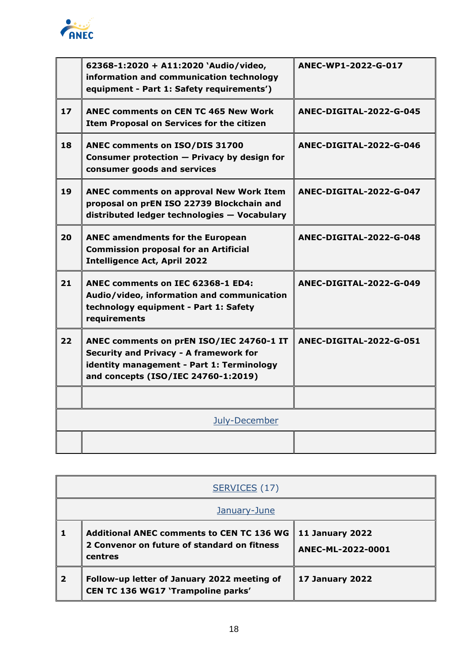

|    | 62368-1:2020 + A11:2020 'Audio/video,<br>information and communication technology<br>equipment - Part 1: Safety requirements')                                         | ANEC-WP1-2022-G-017     |
|----|------------------------------------------------------------------------------------------------------------------------------------------------------------------------|-------------------------|
| 17 | <b>ANEC comments on CEN TC 465 New Work</b><br>Item Proposal on Services for the citizen                                                                               | ANEC-DIGITAL-2022-G-045 |
| 18 | ANEC comments on ISO/DIS 31700<br>Consumer protection - Privacy by design for<br>consumer goods and services                                                           | ANEC-DIGITAL-2022-G-046 |
| 19 | <b>ANEC comments on approval New Work Item</b><br>proposal on prEN ISO 22739 Blockchain and<br>distributed ledger technologies - Vocabulary                            | ANEC-DIGITAL-2022-G-047 |
| 20 | <b>ANEC amendments for the European</b><br><b>Commission proposal for an Artificial</b><br><b>Intelligence Act, April 2022</b>                                         | ANEC-DIGITAL-2022-G-048 |
| 21 | ANEC comments on IEC 62368-1 ED4:<br>Audio/video, information and communication<br>technology equipment - Part 1: Safety<br>requirements                               | ANEC-DIGITAL-2022-G-049 |
| 22 | ANEC comments on prEN ISO/IEC 24760-1 IT<br>Security and Privacy - A framework for<br>identity management - Part 1: Terminology<br>and concepts (ISO/IEC 24760-1:2019) | ANEC-DIGITAL-2022-G-051 |
|    |                                                                                                                                                                        |                         |
|    | July-December                                                                                                                                                          |                         |
|    |                                                                                                                                                                        |                         |

|                         | SERVICES (17)                                                                                              |                                             |
|-------------------------|------------------------------------------------------------------------------------------------------------|---------------------------------------------|
|                         | January-June                                                                                               |                                             |
|                         | <b>Additional ANEC comments to CEN TC 136 WG</b><br>2 Convenor on future of standard on fitness<br>centres | <b>11 January 2022</b><br>ANEC-ML-2022-0001 |
| $\overline{\mathbf{2}}$ | Follow-up letter of January 2022 meeting of<br><b>CEN TC 136 WG17 'Trampoline parks'</b>                   | <b>17 January 2022</b>                      |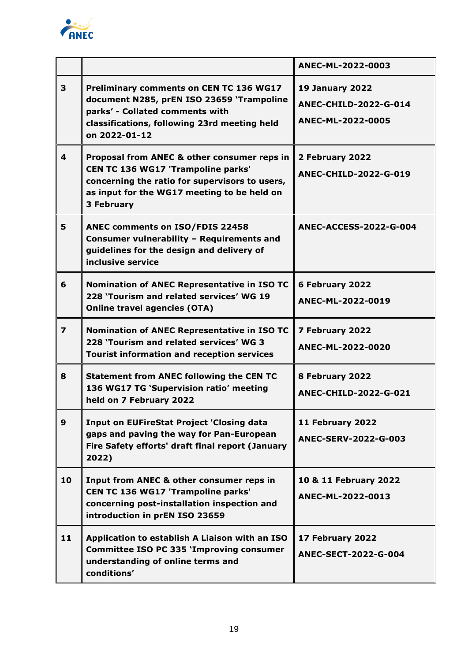

|                         |                                                                                                                                                                                                                | ANEC-ML-2022-0003                                                           |
|-------------------------|----------------------------------------------------------------------------------------------------------------------------------------------------------------------------------------------------------------|-----------------------------------------------------------------------------|
| 3                       | <b>Preliminary comments on CEN TC 136 WG17</b><br>document N285, prEN ISO 23659 'Trampoline<br>parks' - Collated comments with<br>classifications, following 23rd meeting held<br>on 2022-01-12                | <b>19 January 2022</b><br><b>ANEC-CHILD-2022-G-014</b><br>ANEC-ML-2022-0005 |
| 4                       | Proposal from ANEC & other consumer reps in<br><b>CEN TC 136 WG17 'Trampoline parks'</b><br>concerning the ratio for supervisors to users,<br>as input for the WG17 meeting to be held on<br><b>3 February</b> | 2 February 2022<br><b>ANEC-CHILD-2022-G-019</b>                             |
| 5                       | ANEC comments on ISO/FDIS 22458<br>Consumer vulnerability - Requirements and<br>guidelines for the design and delivery of<br>inclusive service                                                                 | <b>ANEC-ACCESS-2022-G-004</b>                                               |
| 6                       | <b>Nomination of ANEC Representative in ISO TC</b><br>228 'Tourism and related services' WG 19<br><b>Online travel agencies (OTA)</b>                                                                          | 6 February 2022<br>ANEC-ML-2022-0019                                        |
| $\overline{\mathbf{z}}$ | Nomination of ANEC Representative in ISO TC<br>228 'Tourism and related services' WG 3<br><b>Tourist information and reception services</b>                                                                    | 7 February 2022<br>ANEC-ML-2022-0020                                        |
| 8                       | <b>Statement from ANEC following the CEN TC</b><br>136 WG17 TG 'Supervision ratio' meeting<br>held on 7 February 2022                                                                                          | 8 February 2022<br><b>ANEC-CHILD-2022-G-021</b>                             |
| $\mathbf{9}$            | <b>Input on EUFireStat Project 'Closing data</b><br>gaps and paving the way for Pan-European<br>Fire Safety efforts' draft final report (January<br>2022)                                                      | 11 February 2022<br><b>ANEC-SERV-2022-G-003</b>                             |
| 10                      | Input from ANEC & other consumer reps in<br>CEN TC 136 WG17 'Trampoline parks'<br>concerning post-installation inspection and<br>introduction in prEN ISO 23659                                                | 10 & 11 February 2022<br>ANEC-ML-2022-0013                                  |
| 11                      | Application to establish A Liaison with an ISO<br><b>Committee ISO PC 335 'Improving consumer</b><br>understanding of online terms and<br>conditions'                                                          | 17 February 2022<br><b>ANEC-SECT-2022-G-004</b>                             |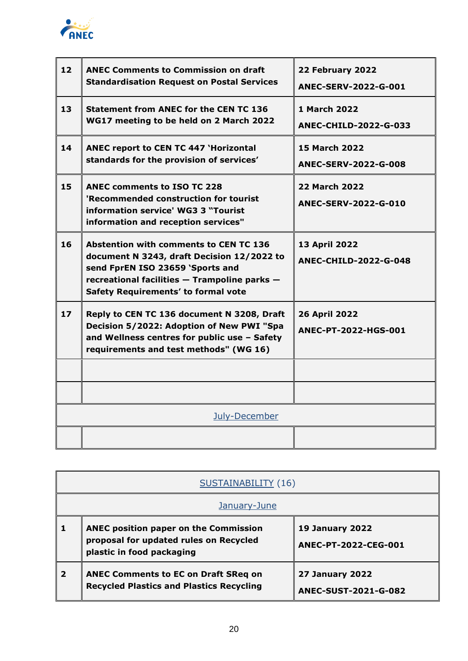

| 12 | <b>ANEC Comments to Commission on draft</b><br><b>Standardisation Request on Postal Services</b>                                                                                                                              | 22 February 2022<br>ANEC-SERV-2022-G-001            |
|----|-------------------------------------------------------------------------------------------------------------------------------------------------------------------------------------------------------------------------------|-----------------------------------------------------|
| 13 | <b>Statement from ANEC for the CEN TC 136</b><br>WG17 meeting to be held on 2 March 2022                                                                                                                                      | <b>1 March 2022</b><br>ANEC-CHILD-2022-G-033        |
| 14 | <b>ANEC report to CEN TC 447 'Horizontal</b><br>standards for the provision of services'                                                                                                                                      | <b>15 March 2022</b><br><b>ANEC-SERV-2022-G-008</b> |
| 15 | <b>ANEC comments to ISO TC 228</b><br>'Recommended construction for tourist<br>information service' WG3 3 "Tourist<br>information and reception services"                                                                     | <b>22 March 2022</b><br>ANEC-SERV-2022-G-010        |
| 16 | <b>Abstention with comments to CEN TC 136</b><br>document N 3243, draft Decision 12/2022 to<br>send FprEN ISO 23659 'Sports and<br>recreational facilities - Trampoline parks -<br><b>Safety Requirements' to formal vote</b> | 13 April 2022<br><b>ANEC-CHILD-2022-G-048</b>       |
| 17 | Reply to CEN TC 136 document N 3208, Draft<br>Decision 5/2022: Adoption of New PWI "Spa<br>and Wellness centres for public use - Safety<br>requirements and test methods" (WG 16)                                             | <b>26 April 2022</b><br>ANEC-PT-2022-HGS-001        |
|    |                                                                                                                                                                                                                               |                                                     |
|    |                                                                                                                                                                                                                               |                                                     |
|    | July-December                                                                                                                                                                                                                 |                                                     |
|    |                                                                                                                                                                                                                               |                                                     |

| <b>SUSTAINABILITY (16)</b> |                                                                                                              |                                                       |
|----------------------------|--------------------------------------------------------------------------------------------------------------|-------------------------------------------------------|
| January-June               |                                                                                                              |                                                       |
|                            | ANEC position paper on the Commission<br>proposal for updated rules on Recycled<br>plastic in food packaging | <b>19 January 2022</b><br>ANEC-PT-2022-CEG-001        |
| $\overline{\mathbf{2}}$    | <b>ANEC Comments to EC on Draft SReq on</b><br><b>Recycled Plastics and Plastics Recycling</b>               | <b>27 January 2022</b><br><b>ANEC-SUST-2021-G-082</b> |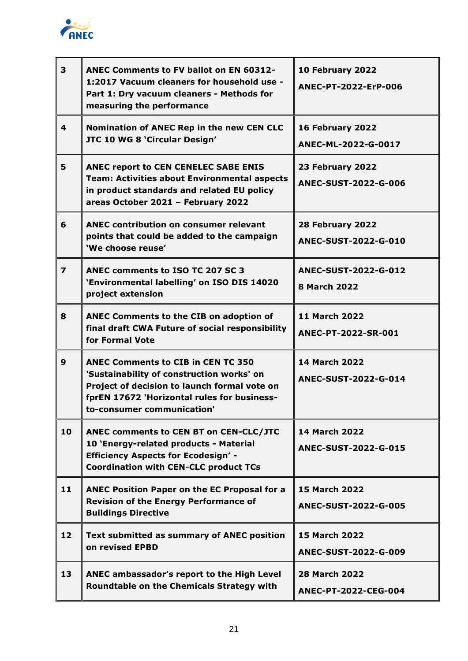

| 3                       | <b>ANEC Comments to FV ballot on EN 60312-</b><br>1:2017 Vacuum cleaners for household use -<br>Part 1: Dry vacuum cleaners - Methods for<br>measuring the performance                                              | 10 February 2022<br>ANEC-PT-2022-ErP-006            |
|-------------------------|---------------------------------------------------------------------------------------------------------------------------------------------------------------------------------------------------------------------|-----------------------------------------------------|
| 4                       | Nomination of ANEC Rep in the new CEN CLC<br>JTC 10 WG 8 'Circular Design'                                                                                                                                          | 16 February 2022<br>ANEC-ML-2022-G-0017             |
| 5                       | <b>ANEC report to CEN CENELEC SABE ENIS</b><br><b>Team: Activities about Environmental aspects</b><br>in product standards and related EU policy<br>areas October 2021 - February 2022                              | 23 February 2022<br><b>ANEC-SUST-2022-G-006</b>     |
| 6                       | <b>ANEC contribution on consumer relevant</b><br>points that could be added to the campaign<br>'We choose reuse'                                                                                                    | 28 February 2022<br><b>ANEC-SUST-2022-G-010</b>     |
| $\overline{\mathbf{z}}$ | ANEC comments to ISO TC 207 SC 3<br>'Environmental labelling' on ISO DIS 14020<br>project extension                                                                                                                 | <b>ANEC-SUST-2022-G-012</b><br><b>8 March 2022</b>  |
| 8                       | ANEC Comments to the CIB on adoption of<br>final draft CWA Future of social responsibility<br>for Formal Vote                                                                                                       | <b>11 March 2022</b><br>ANEC-PT-2022-SR-001         |
| 9                       | <b>ANEC Comments to CIB in CEN TC 350</b><br>'Sustainability of construction works' on<br>Project of decision to launch formal vote on<br>fprEN 17672 'Horizontal rules for business-<br>to-consumer communication' | <b>14 March 2022</b><br>ANEC-SUST-2022-G-014        |
| 10                      | ANEC comments to CEN BT on CEN-CLC/JTC<br>10 'Energy-related products - Material<br><b>Efficiency Aspects for Ecodesign' -</b><br><b>Coordination with CEN-CLC product TCs</b>                                      | <b>14 March 2022</b><br><b>ANEC-SUST-2022-G-015</b> |
| 11                      | <b>ANEC Position Paper on the EC Proposal for a</b><br><b>Revision of the Energy Performance of</b><br><b>Buildings Directive</b>                                                                                   | <b>15 March 2022</b><br><b>ANEC-SUST-2022-G-005</b> |
| 12                      | <b>Text submitted as summary of ANEC position</b><br>on revised EPBD                                                                                                                                                | <b>15 March 2022</b><br><b>ANEC-SUST-2022-G-009</b> |
| 13                      | ANEC ambassador's report to the High Level<br><b>Roundtable on the Chemicals Strategy with</b>                                                                                                                      | <b>28 March 2022</b><br>ANEC-PT-2022-CEG-004        |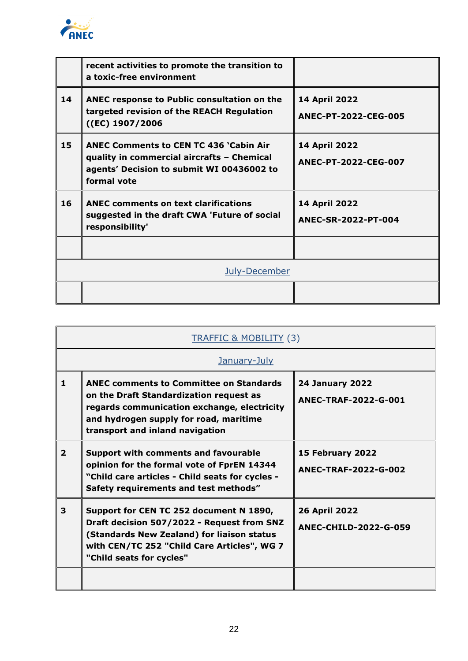

|    | recent activities to promote the transition to<br>a toxic-free environment                                                                              |                                       |
|----|---------------------------------------------------------------------------------------------------------------------------------------------------------|---------------------------------------|
| 14 | ANEC response to Public consultation on the<br>targeted revision of the REACH Regulation<br>((EC) 1907/2006                                             | 14 April 2022<br>ANEC-PT-2022-CEG-005 |
| 15 | <b>ANEC Comments to CEN TC 436 'Cabin Air</b><br>quality in commercial aircrafts - Chemical<br>agents' Decision to submit WI 00436002 to<br>formal vote | 14 April 2022<br>ANEC-PT-2022-CEG-007 |
| 16 | <b>ANEC comments on text clarifications</b><br>suggested in the draft CWA 'Future of social<br>responsibility'                                          | 14 April 2022<br>ANEC-SR-2022-PT-004  |
|    |                                                                                                                                                         |                                       |
|    | July-December                                                                                                                                           |                                       |
|    |                                                                                                                                                         |                                       |

| <b>TRAFFIC &amp; MOBILITY (3)</b> |                                                                                                                                                                                                                       |                                                      |  |
|-----------------------------------|-----------------------------------------------------------------------------------------------------------------------------------------------------------------------------------------------------------------------|------------------------------------------------------|--|
|                                   | January-July                                                                                                                                                                                                          |                                                      |  |
| 1                                 | <b>ANEC comments to Committee on Standards</b><br>on the Draft Standardization request as<br>regards communication exchange, electricity<br>and hydrogen supply for road, maritime<br>transport and inland navigation | <b>24 January 2022</b><br>ANEC-TRAF-2022-G-001       |  |
| $\overline{2}$                    | <b>Support with comments and favourable</b><br>opinion for the formal vote of FprEN 14344<br>"Child care articles - Child seats for cycles -<br>Safety requirements and test methods"                                 | 15 February 2022<br>ANEC-TRAF-2022-G-002             |  |
| 3                                 | Support for CEN TC 252 document N 1890,<br>Draft decision 507/2022 - Request from SNZ<br>(Standards New Zealand) for liaison status<br>with CEN/TC 252 "Child Care Articles", WG 7<br>"Child seats for cycles"        | <b>26 April 2022</b><br><b>ANEC-CHILD-2022-G-059</b> |  |
|                                   |                                                                                                                                                                                                                       |                                                      |  |